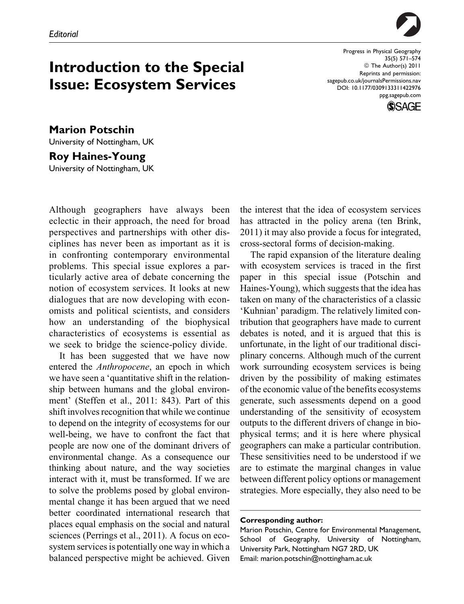

Introduction to the Special Issue: Ecosystem Services

Progress in Physical Geography 35(5) 571–574 © The Author(s) 2011 Reprints and permission: sagepub.co.uk/journalsPermissions.nav DOI: 10.1177/0309133311422976 ppg.sagepub.com



Marion Potschin University of Nottingham, UK Roy Haines-Young

University of Nottingham, UK

Although geographers have always been eclectic in their approach, the need for broad perspectives and partnerships with other disciplines has never been as important as it is in confronting contemporary environmental problems. This special issue explores a particularly active area of debate concerning the notion of ecosystem services. It looks at new dialogues that are now developing with economists and political scientists, and considers how an understanding of the biophysical characteristics of ecosystems is essential as we seek to bridge the science-policy divide.

It has been suggested that we have now entered the Anthropocene, an epoch in which we have seen a 'quantitative shift in the relationship between humans and the global environment' (Steffen et al., 2011: 843). Part of this shift involves recognition that while we continue to depend on the integrity of ecosystems for our well-being, we have to confront the fact that people are now one of the dominant drivers of environmental change. As a consequence our thinking about nature, and the way societies interact with it, must be transformed. If we are to solve the problems posed by global environmental change it has been argued that we need better coordinated international research that places equal emphasis on the social and natural sciences (Perrings et al., 2011). A focus on ecosystem services is potentially one way in which a balanced perspective might be achieved. Given

the interest that the idea of ecosystem services has attracted in the policy arena (ten Brink, 2011) it may also provide a focus for integrated, cross-sectoral forms of decision-making.

The rapid expansion of the literature dealing with ecosystem services is traced in the first paper in this special issue (Potschin and Haines-Young), which suggests that the idea has taken on many of the characteristics of a classic 'Kuhnian' paradigm. The relatively limited contribution that geographers have made to current debates is noted, and it is argued that this is unfortunate, in the light of our traditional disciplinary concerns. Although much of the current work surrounding ecosystem services is being driven by the possibility of making estimates of the economic value of the benefits ecosystems generate, such assessments depend on a good understanding of the sensitivity of ecosystem outputs to the different drivers of change in biophysical terms; and it is here where physical geographers can make a particular contribution. These sensitivities need to be understood if we are to estimate the marginal changes in value between different policy options or management strategies. More especially, they also need to be

## Corresponding author:

Marion Potschin, Centre for Environmental Management, School of Geography, University of Nottingham, University Park, Nottingham NG7 2RD, UK Email: marion.potschin@nottingham.ac.uk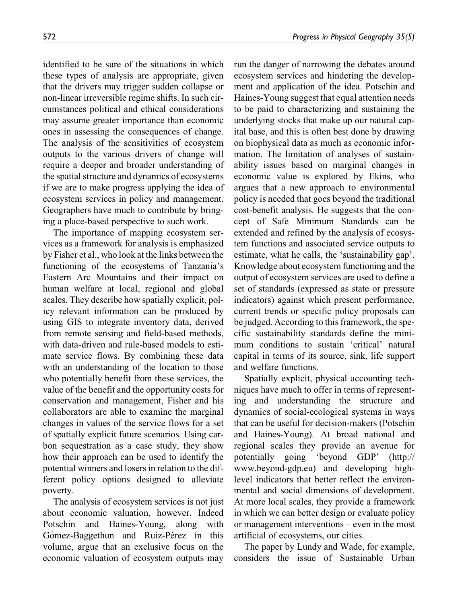identified to be sure of the situations in which these types of analysis are appropriate, given that the drivers may trigger sudden collapse or non-linear irreversible regime shifts. In such circumstances political and ethical considerations may assume greater importance than economic ones in assessing the consequences of change. The analysis of the sensitivities of ecosystem outputs to the various drivers of change will require a deeper and broader understanding of the spatial structure and dynamics of ecosystems if we are to make progress applying the idea of ecosystem services in policy and management. Geographers have much to contribute by bringing a place-based perspective to such work.

The importance of mapping ecosystem services as a framework for analysis is emphasized by Fisher et al., who look at the links between the functioning of the ecosystems of Tanzania's Eastern Arc Mountains and their impact on human welfare at local, regional and global scales. They describe how spatially explicit, policy relevant information can be produced by using GIS to integrate inventory data, derived from remote sensing and field-based methods, with data-driven and rule-based models to estimate service flows. By combining these data with an understanding of the location to those who potentially benefit from these services, the value of the benefit and the opportunity costs for conservation and management, Fisher and his collaborators are able to examine the marginal changes in values of the service flows for a set of spatially explicit future scenarios. Using carbon sequestration as a case study, they show how their approach can be used to identify the potential winners and losers in relation to the different policy options designed to alleviate poverty.

The analysis of ecosystem services is not just about economic valuation, however. Indeed Potschin and Haines-Young, along with Gómez-Baggethun and Ruiz-Pérez in this volume, argue that an exclusive focus on the economic valuation of ecosystem outputs may run the danger of narrowing the debates around ecosystem services and hindering the development and application of the idea. Potschin and Haines-Young suggest that equal attention needs to be paid to characterizing and sustaining the underlying stocks that make up our natural capital base, and this is often best done by drawing on biophysical data as much as economic information. The limitation of analyses of sustainability issues based on marginal changes in economic value is explored by Ekins, who argues that a new approach to environmental policy is needed that goes beyond the traditional cost-benefit analysis. He suggests that the concept of Safe Minimum Standards can be extended and refined by the analysis of ecosystem functions and associated service outputs to estimate, what he calls, the 'sustainability gap'. Knowledge about ecosystem functioning and the output of ecosystem services are used to define a set of standards (expressed as state or pressure indicators) against which present performance, current trends or specific policy proposals can be judged. According to this framework, the specific sustainability standards define the minimum conditions to sustain 'critical' natural capital in terms of its source, sink, life support and welfare functions.

Spatially explicit, physical accounting techniques have much to offer in terms of representing and understanding the structure and dynamics of social-ecological systems in ways that can be useful for decision-makers (Potschin and Haines-Young). At broad national and regional scales they provide an avenue for potentially going 'beyond GDP' (http:// www.beyond-gdp.eu) and developing highlevel indicators that better reflect the environmental and social dimensions of development. At more local scales, they provide a framework in which we can better design or evaluate policy or management interventions – even in the most artificial of ecosystems, our cities.

The paper by Lundy and Wade, for example, considers the issue of Sustainable Urban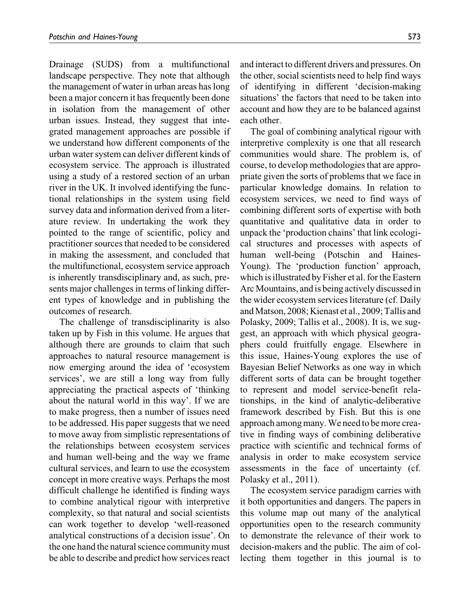Drainage (SUDS) from a multifunctional landscape perspective. They note that although the management of water in urban areas has long been a major concern it has frequently been done in isolation from the management of other urban issues. Instead, they suggest that integrated management approaches are possible if we understand how different components of the urban water system can deliver different kinds of ecosystem service. The approach is illustrated using a study of a restored section of an urban river in the UK. It involved identifying the functional relationships in the system using field survey data and information derived from a literature review. In undertaking the work they pointed to the range of scientific, policy and practitioner sources that needed to be considered in making the assessment, and concluded that the multifunctional, ecosystem service approach is inherently transdisciplinary and, as such, presents major challenges in terms of linking different types of knowledge and in publishing the outcomes of research.

The challenge of transdisciplinarity is also taken up by Fish in this volume. He argues that although there are grounds to claim that such approaches to natural resource management is now emerging around the idea of 'ecosystem services', we are still a long way from fully appreciating the practical aspects of 'thinking about the natural world in this way'. If we are to make progress, then a number of issues need to be addressed. His paper suggests that we need to move away from simplistic representations of the relationships between ecosystem services and human well-being and the way we frame cultural services, and learn to use the ecosystem concept in more creative ways. Perhaps the most difficult challenge he identified is finding ways to combine analytical rigour with interpretive complexity, so that natural and social scientists can work together to develop 'well-reasoned analytical constructions of a decision issue'. On the one hand the natural science community must be able to describe and predict how services react and interact to different drivers and pressures. On the other, social scientists need to help find ways of identifying in different 'decision-making situations' the factors that need to be taken into account and how they are to be balanced against each other.

The goal of combining analytical rigour with interpretive complexity is one that all research communities would share. The problem is, of course, to develop methodologies that are appropriate given the sorts of problems that we face in particular knowledge domains. In relation to ecosystem services, we need to find ways of combining different sorts of expertise with both quantitative and qualitative data in order to unpack the 'production chains' that link ecological structures and processes with aspects of human well-being (Potschin and Haines-Young). The 'production function' approach, which is illustrated by Fisher et al. for the Eastern Arc Mountains, and is being actively discussed in the wider ecosystem services literature (cf. Daily and Matson, 2008; Kienast et al., 2009; Tallis and Polasky, 2009; Tallis et al., 2008). It is, we suggest, an approach with which physical geographers could fruitfully engage. Elsewhere in this issue, Haines-Young explores the use of Bayesian Belief Networks as one way in which different sorts of data can be brought together to represent and model service-benefit relationships, in the kind of analytic-deliberative framework described by Fish. But this is one approach among many.We need to be more creative in finding ways of combining deliberative practice with scientific and technical forms of analysis in order to make ecosystem service assessments in the face of uncertainty (cf. Polasky et al., 2011).

The ecosystem service paradigm carries with it both opportunities and dangers. The papers in this volume map out many of the analytical opportunities open to the research community to demonstrate the relevance of their work to decision-makers and the public. The aim of collecting them together in this journal is to